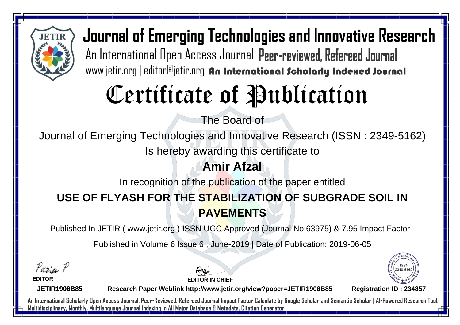

# Certificate of Publication

The Board of

Journal of Emerging Technologies and Innovative Research (ISSN : 2349-5162)

Is hereby awarding this certificate to

#### **Amir Afzal**

In recognition of the publication of the paper entitled

## **USE OF FLYASH FOR THE STABILIZATION OF SUBGRADE SOIL IN PAVEMENTS**

Published In JETIR ( www.jetir.org ) ISSN UGC Approved (Journal No: 63975) & 7.95 Impact Factor

Published in Volume 6 Issue 6 , June-2019 | Date of Publication: 2019-06-05

Paris P

**EDITOR**

**EDITOR IN CHIEF**



**JETIR1908B85**

**Research Paper Weblink http://www.jetir.org/view?paper=JETIR1908B85 Registration ID : 234857**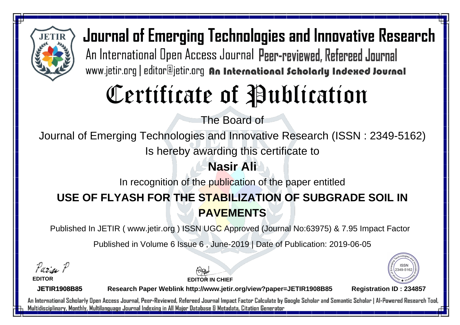

# Certificate of Publication

The Board of

Journal of Emerging Technologies and Innovative Research (ISSN : 2349-5162)

Is hereby awarding this certificate to

#### **Nasir Ali**

In recognition of the publication of the paper entitled

## **USE OF FLYASH FOR THE STABILIZATION OF SUBGRADE SOIL IN PAVEMENTS**

Published In JETIR ( www.jetir.org ) ISSN UGC Approved (Journal No: 63975) & 7.95 Impact Factor

Published in Volume 6 Issue 6 , June-2019 | Date of Publication: 2019-06-05

Paris P

**EDITOR**

**EDITOR IN CHIEF**



**JETIR1908B85**

**Research Paper Weblink http://www.jetir.org/view?paper=JETIR1908B85 Registration ID : 234857**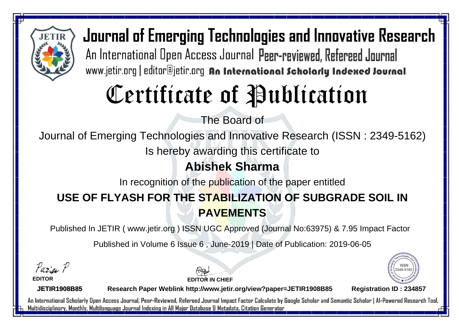

# Certificate of Publication

The Board of

Journal of Emerging Technologies and Innovative Research (ISSN : 2349-5162)

Is hereby awarding this certificate to

#### **Abishek Sharma**

In recognition of the publication of the paper entitled

## **USE OF FLYASH FOR THE STABILIZATION OF SUBGRADE SOIL IN PAVEMENTS**

Published In JETIR ( www.jetir.org ) ISSN UGC Approved (Journal No: 63975) & 7.95 Impact Factor

Published in Volume 6 Issue 6 , June-2019 | Date of Publication: 2019-06-05

Parin P

**EDITOR**

**EDITOR IN CHIEF**



**JETIR1908B85**

**Research Paper Weblink http://www.jetir.org/view?paper=JETIR1908B85 Registration ID : 234857**